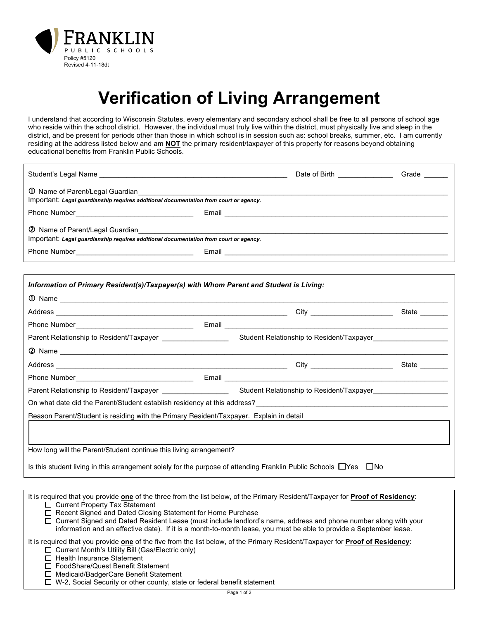

## **Verification of Living Arrangement**

I understand that according to Wisconsin Statutes, every elementary and secondary school shall be free to all persons of school age who reside within the school district. However, the individual must truly live within the district, must physically live and sleep in the district, and be present for periods other than those in which school is in session such as: school breaks, summer, etc. I am currently residing at the address listed below and am **NOT** the primary resident/taxpayer of this property for reasons beyond obtaining educational benefits from Franklin Public Schools.

|                                                                                       | Date of Birth ________________                                                                                            | Grade ______ |
|---------------------------------------------------------------------------------------|---------------------------------------------------------------------------------------------------------------------------|--------------|
| Important: Legal quardianship requires additional documentation from court or agency. |                                                                                                                           |              |
| Phone Number<br><u> </u>                                                              |                                                                                                                           |              |
| Important: Legal guardianship requires additional documentation from court or agency. |                                                                                                                           |              |
| Phone Number <b>Manual</b> Phone Number                                               | Email <b>Exercise Community Community Community</b> Community Community Community Community Community Community Community |              |

| Information of Primary Resident(s)/Taxpayer(s) with Whom Parent and Student is Living:                                      |  |               |
|-----------------------------------------------------------------------------------------------------------------------------|--|---------------|
|                                                                                                                             |  |               |
|                                                                                                                             |  | State _______ |
|                                                                                                                             |  |               |
|                                                                                                                             |  |               |
|                                                                                                                             |  |               |
|                                                                                                                             |  | State _______ |
|                                                                                                                             |  |               |
|                                                                                                                             |  |               |
|                                                                                                                             |  |               |
| Reason Parent/Student is residing with the Primary Resident/Taxpayer. Explain in detail                                     |  |               |
|                                                                                                                             |  |               |
|                                                                                                                             |  |               |
| How long will the Parent/Student continue this living arrangement?                                                          |  |               |
| Is this student living in this arrangement solely for the purpose of attending Franklin Public Schools $\Box$ Yes $\Box$ No |  |               |
|                                                                                                                             |  |               |

It is required that you provide **one** of the three from the list below, of the Primary Resident/Taxpayer for **Proof of Residency**:  $\square$  Current Property Tax Statement

□ Recent Signed and Dated Closing Statement for Home Purchase

□ Current Signed and Dated Resident Lease (must include landlord's name, address and phone number along with your information and an effective date). If it is a month-to-month lease, you must be able to provide a September lease.

It is required that you provide **one** of the five from the list below, of the Primary Resident/Taxpayer for **Proof of Residency**:  $\square$  Current Month's Utility Bill (Gas/Electric only)

 $\square$  Health Insurance Statement

□ FoodShare/Quest Benefit Statement

□ Medicaid/BadgerCare Benefit Statement

 $\square$  W-2, Social Security or other county, state or federal benefit statement